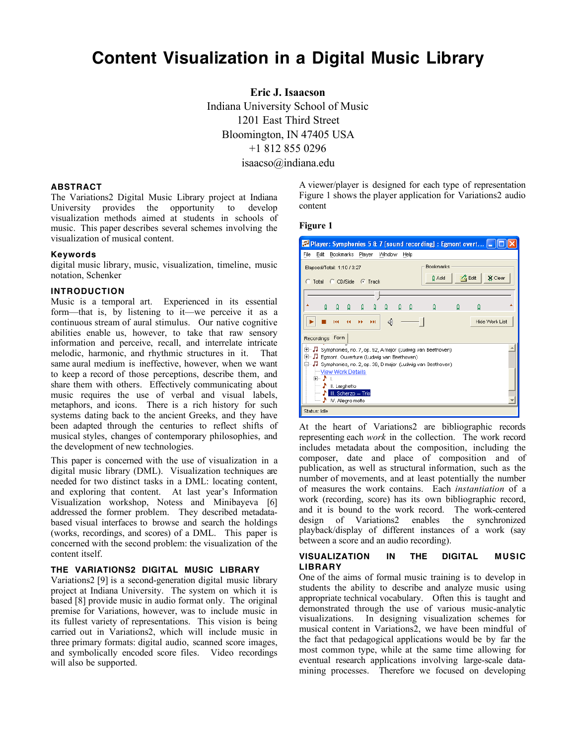# **Content Visualization in a Digital Music Library**

**Eric J. Isaacson** Indiana University School of Music 1201 East Third Street Bloomington, IN 47405 USA +1 812 855 0296 isaacso@indiana.edu

## **ABSTRACT**

The Variations2 Digital Music Library project at Indiana University provides the opportunity to develop visualization methods aimed at students in schools of music. This paper describes several schemes involving the visualization of musical content.

## **Keywords**

digital music library, music, visualization, timeline, music notation, Schenker

## **INTRODUCTION**

Music is a temporal art. Experienced in its essential form—that is, by listening to it—we perceive it as a continuous stream of aural stimulus. Our native cognitive abilities enable us, however, to take that raw sensory information and perceive, recall, and interrelate intricate melodic, harmonic, and rhythmic structures in it. That same aural medium is ineffective, however, when we want to keep a record of those perceptions, describe them, and share them with others. Effectively communicating about music requires the use of verbal and visual labels, metaphors, and icons. There is a rich history for such systems dating back to the ancient Greeks, and they have been adapted through the centuries to reflect shifts of musical styles, changes of contemporary philosophies, and the development of new technologies.

This paper is concerned with the use of visualization in a digital music library (DML). Visualization techniques are needed for two distinct tasks in a DML: locating content, and exploring that content. At last year's Information Visualization workshop, Notess and Minibayeva [6] addressed the former problem. They described metadatabased visual interfaces to browse and search the holdings (works, recordings, and scores) of a DML. This paper is concerned with the second problem: the visualization of the content itself.

# **THE VARIATIONS2 DIGITAL MUSIC LIBRARY**

Variations2 [9] is a second-generation digital music library project at Indiana University. The system on which it is based [8] provide music in audio format only. The original premise for Variations, however, was to include music in its fullest variety of representations. This vision is being carried out in Variations2, which will include music in three primary formats: digital audio, scanned score images, and symbolically encoded score files. Video recordings will also be supported.

A viewer/player is designed for each type of representation Figure 1 shows the player application for Variations2 audio content

#### **Figure 1**

| Player: Symphonies 5 & 7 [sound recording] : Egmont overt  _                                                                |
|-----------------------------------------------------------------------------------------------------------------------------|
| File<br>Edit<br>Bookmarks Player<br>Window<br>Help                                                                          |
| <b>Bookmarks</b><br>Elapsed/Total: 1:10 / 3:27<br><b>Z</b> Edit<br>X Clear<br>0 Add                                         |
| C Total C CD/Side C Track                                                                                                   |
|                                                                                                                             |
| ۵<br>A<br>۵<br>۵<br>Ω<br>۵<br>Q<br>O                                                                                        |
| ℐ<br>Hide Work List<br><b>FFI</b><br>m<br>н                                                                                 |
| Form<br>Recordings                                                                                                          |
| 田…』 Symphonies, no. 7, op. 92, A major (Ludwig van Beethoven)<br>Egmont. Ouverture (Ludwig van Beethoven)<br>$\overline{+}$ |
| Symphonies, no. 2, op. 36, D major (Ludwig van Beethoven)                                                                   |
| View Work Details<br>ਜ਼ਾ-⊅ ।                                                                                                |
| II. Larghetto<br><u>i</u>                                                                                                   |
| N III. Scherzo - Trio<br>5.<br>└─ ♪ IV. Allegro molto                                                                       |
| Status: Idle                                                                                                                |

At the heart of Variations2 are bibliographic records representing each *work* in the collection. The work record includes metadata about the composition, including the composer, date and place of composition and of publication, as well as structural information, such as the number of movements, and at least potentially the number of measures the work contains. Each *instantiation* of a work (recording, score) has its own bibliographic record, and it is bound to the work record. The work-centered design of Variations2 enables the synchronized playback/display of different instances of a work (say between a score and an audio recording).

#### **VISUALIZATION IN THE DIGITAL MUSIC LIBRARY**

One of the aims of formal music training is to develop in students the ability to describe and analyze music using appropriate technical vocabulary. Often this is taught and demonstrated through the use of various music-analytic visualizations. In designing visualization schemes for musical content in Variations2, we have been mindful of the fact that pedagogical applications would be by far the most common type, while at the same time allowing for eventual research applications involving large-scale datamining processes. Therefore we focused on developing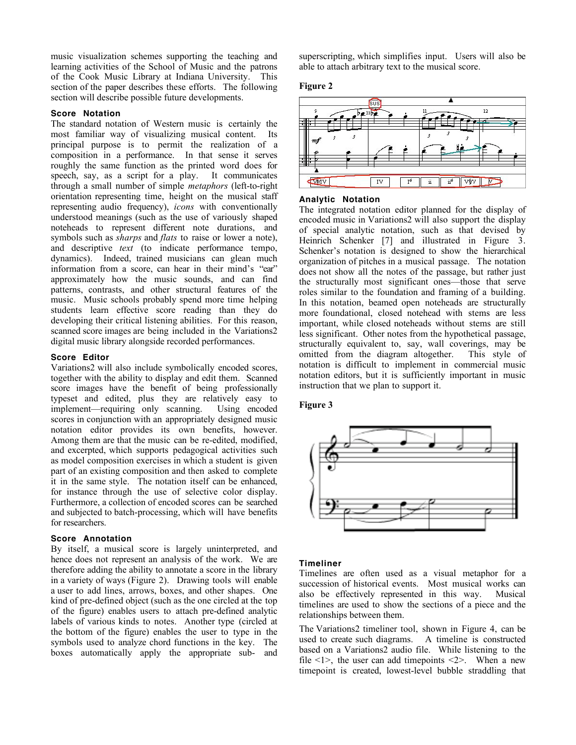music visualization schemes supporting the teaching and learning activities of the School of Music and the patrons of the Cook Music Library at Indiana University. This section of the paper describes these efforts. The following section will describe possible future developments.

#### **Score Notation**

The standard notation of Western music is certainly the most familiar way of visualizing musical content. Its principal purpose is to permit the realization of a composition in a performance. In that sense it serves roughly the same function as the printed word does for speech, say, as a script for a play. It communicates through a small number of simple *metaphors* (left-to-right orientation representing time, height on the musical staff representing audio frequency), *icons* with conventionally understood meanings (such as the use of variously shaped noteheads to represent different note durations, and symbols such as *sharps* and *flats* to raise or lower a note), and descriptive *text* (to indicate performance tempo, dynamics). Indeed, trained musicians can glean much information from a score, can hear in their mind's "ear" approximately how the music sounds, and can find patterns, contrasts, and other structural features of the music. Music schools probably spend more time helping students learn effective score reading than they do developing their critical listening abilities. For this reason, scanned score images are being included in the Variations2 digital music library alongside recorded performances.

#### **Score Editor**

Variations2 will also include symbolically encoded scores, together with the ability to display and edit them. Scanned score images have the benefit of being professionally typeset and edited, plus they are relatively easy to implement—requiring only scanning. Using encoded scores in conjunction with an appropriately designed music notation editor provides its own benefits, however. Among them are that the music can be re-edited, modified, and excerpted, which supports pedagogical activities such as model composition exercises in which a student is given part of an existing composition and then asked to complete it in the same style. The notation itself can be enhanced, for instance through the use of selective color display. Furthermore, a collection of encoded scores can be searched and subjected to batch-processing, which will have benefits for researchers.

#### **Score Annotation**

By itself, a musical score is largely uninterpreted, and hence does not represent an analysis of the work. We are therefore adding the ability to annotate a score in the library in a variety of ways (Figure 2). Drawing tools will enable a user to add lines, arrows, boxes, and other shapes. One kind of pre-defined object (such as the one circled at the top of the figure) enables users to attach pre-defined analytic labels of various kinds to notes. Another type (circled at the bottom of the figure) enables the user to type in the symbols used to analyze chord functions in the key. The boxes automatically apply the appropriate sub- and superscripting, which simplifies input. Users will also be able to attach arbitrary text to the musical score.

#### **Figure 2**



#### **Analytic Notation**

The integrated notation editor planned for the display of encoded music in Variations2 will also support the display of special analytic notation, such as that devised by Heinrich Schenker [7] and illustrated in Figure 3. Schenker's notation is designed to show the hierarchical organization of pitches in a musical passage. The notation does not show all the notes of the passage, but rather just the structurally most significant ones—those that serve roles similar to the foundation and framing of a building. In this notation, beamed open noteheads are structurally more foundational, closed notehead with stems are less important, while closed noteheads without stems are still less significant. Other notes from the hypothetical passage, structurally equivalent to, say, wall coverings, may be omitted from the diagram altogether. This style of notation is difficult to implement in commercial music notation editors, but it is sufficiently important in music instruction that we plan to support it.

## **Figure 3**



#### **Timeliner**

Timelines are often used as a visual metaphor for a succession of historical events. Most musical works can also be effectively represented in this way. Musical timelines are used to show the sections of a piece and the relationships between them.

The Variations2 timeliner tool, shown in Figure 4, can be used to create such diagrams. A timeline is constructed based on a Variations2 audio file. While listening to the file  $\leq 1$ , the user can add timepoints  $\leq 2$ . When a new timepoint is created, lowest-level bubble straddling that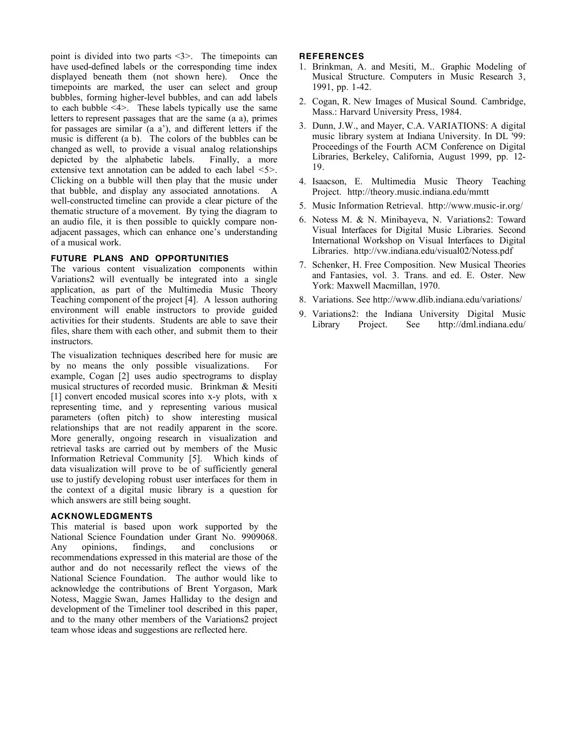point is divided into two parts <3>. The timepoints can have used-defined labels or the corresponding time index displayed beneath them (not shown here). Once the timepoints are marked, the user can select and group bubbles, forming higher-level bubbles, and can add labels to each bubble  $\leq 4$ . These labels typically use the same letters to represent passages that are the same (a a), primes for passages are similar (a a'), and different letters if the music is different (a b). The colors of the bubbles can be changed as well, to provide a visual analog relationships depicted by the alphabetic labels. Finally, a more extensive text annotation can be added to each label <5>. Clicking on a bubble will then play that the music under that bubble, and display any associated annotations. A well-constructed timeline can provide a clear picture of the thematic structure of a movement. By tying the diagram to an audio file, it is then possible to quickly compare nonadjacent passages, which can enhance one's understanding of a musical work.

# **FUTURE PLANS AND OPPORTUNITIES**

The various content visualization components within Variations2 will eventually be integrated into a single application, as part of the Multimedia Music Theory Teaching component of the project [4]. A lesson authoring environment will enable instructors to provide guided activities for their students. Students are able to save their files, share them with each other, and submit them to their instructors.

The visualization techniques described here for music are by no means the only possible visualizations. For example, Cogan [2] uses audio spectrograms to display musical structures of recorded music. Brinkman & Mesiti [1] convert encoded musical scores into x-y plots, with x representing time, and y representing various musical parameters (often pitch) to show interesting musical relationships that are not readily apparent in the score. More generally, ongoing research in visualization and retrieval tasks are carried out by members of the Music Information Retrieval Community [5]. Which kinds of data visualization will prove to be of sufficiently general use to justify developing robust user interfaces for them in the context of a digital music library is a question for which answers are still being sought.

## **ACKNOWLEDGMENTS**

This material is based upon work supported by the National Science Foundation under Grant No. 9909068. Any opinions, findings, and conclusions or recommendations expressed in this material are those of the author and do not necessarily reflect the views of the National Science Foundation. The author would like to acknowledge the contributions of Brent Yorgason, Mark Notess, Maggie Swan, James Halliday to the design and development of the Timeliner tool described in this paper, and to the many other members of the Variations2 project team whose ideas and suggestions are reflected here.

## **REFERENCES**

- 1. Brinkman, A. and Mesiti, M.. Graphic Modeling of Musical Structure. Computers in Music Research 3, 1991, pp. 1-42.
- 2. Cogan, R. New Images of Musical Sound. Cambridge, Mass.: Harvard University Press, 1984.
- 3. Dunn, J.W., and Mayer, C.A. VARIATIONS: A digital music library system at Indiana University. In DL '99: Proceedings of the Fourth ACM Conference on Digital Libraries, Berkeley, California, August 1999, pp. 12- 19.
- 4. Isaacson, E. Multimedia Music Theory Teaching Project. http://theory.music.indiana.edu/mmtt
- 5. Music Information Retrieval. http://www.music-ir.org/
- 6. Notess M. & N. Minibayeva, N. Variations2: Toward Visual Interfaces for Digital Music Libraries. Second International Workshop on Visual Interfaces to Digital Libraries. http://vw.indiana.edu/visual02/Notess.pdf
- 7. Schenker, H. Free Composition. New Musical Theories and Fantasies, vol. 3. Trans. and ed. E. Oster. New York: Maxwell Macmillan, 1970.
- 8. Variations. See http://www.dlib.indiana.edu/variations/
- 9. Variations2: the Indiana University Digital Music Library Project. See http://dml.indiana.edu/